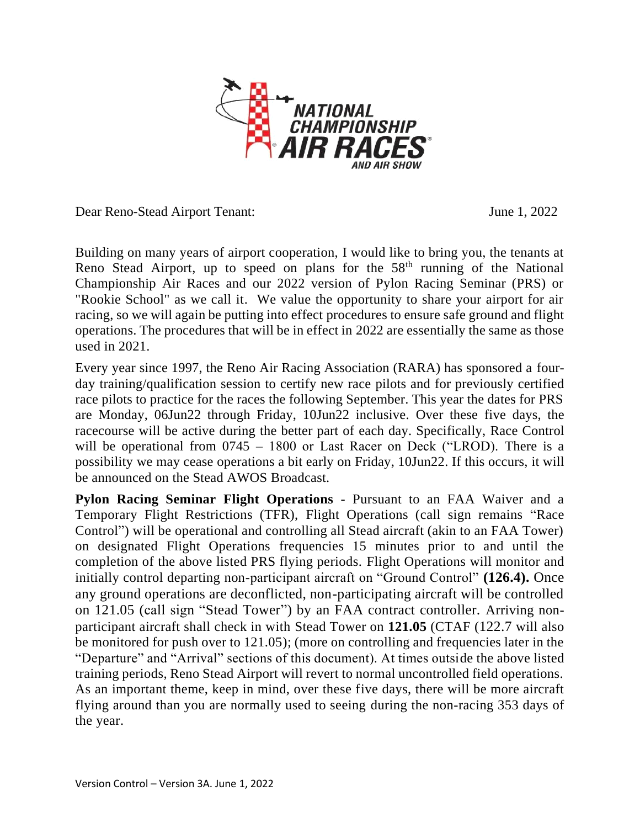

Dear Reno-Stead Airport Tenant: June 1, 2022

Building on many years of airport cooperation, I would like to bring you, the tenants at Reno Stead Airport, up to speed on plans for the 58<sup>th</sup> running of the National Championship Air Races and our 2022 version of Pylon Racing Seminar (PRS) or "Rookie School" as we call it. We value the opportunity to share your airport for air racing, so we will again be putting into effect procedures to ensure safe ground and flight operations. The procedures that will be in effect in 2022 are essentially the same as those used in 2021.

Every year since 1997, the Reno Air Racing Association (RARA) has sponsored a fourday training/qualification session to certify new race pilots and for previously certified race pilots to practice for the races the following September. This year the dates for PRS are Monday, 06Jun22 through Friday, 10Jun22 inclusive. Over these five days, the racecourse will be active during the better part of each day. Specifically, Race Control will be operational from 0745 – 1800 or Last Racer on Deck ("LROD). There is a possibility we may cease operations a bit early on Friday, 10Jun22. If this occurs, it will be announced on the Stead AWOS Broadcast.

**Pylon Racing Seminar Flight Operations** - Pursuant to an FAA Waiver and a Temporary Flight Restrictions (TFR), Flight Operations (call sign remains "Race Control") will be operational and controlling all Stead aircraft (akin to an FAA Tower) on designated Flight Operations frequencies 15 minutes prior to and until the completion of the above listed PRS flying periods. Flight Operations will monitor and initially control departing non-participant aircraft on "Ground Control" **(126.4).** Once any ground operations are deconflicted, non-participating aircraft will be controlled on 121.05 (call sign "Stead Tower") by an FAA contract controller. Arriving nonparticipant aircraft shall check in with Stead Tower on **121.05** (CTAF (122.7 will also be monitored for push over to 121.05); (more on controlling and frequencies later in the "Departure" and "Arrival" sections of this document). At times outside the above listed training periods, Reno Stead Airport will revert to normal uncontrolled field operations. As an important theme, keep in mind, over these five days, there will be more aircraft flying around than you are normally used to seeing during the non-racing 353 days of the year.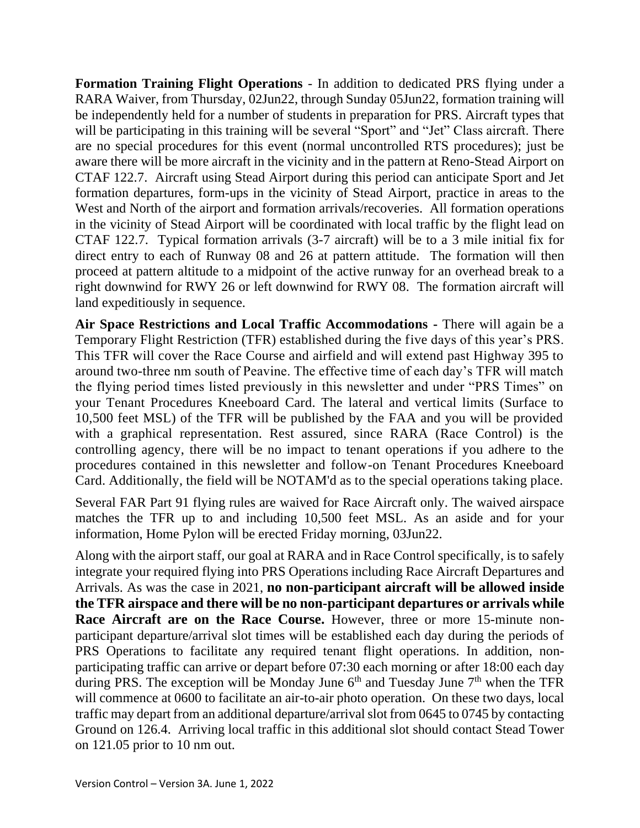**Formation Training Flight Operations** - In addition to dedicated PRS flying under a RARA Waiver, from Thursday, 02Jun22, through Sunday 05Jun22, formation training will be independently held for a number of students in preparation for PRS. Aircraft types that will be participating in this training will be several "Sport" and "Jet" Class aircraft. There are no special procedures for this event (normal uncontrolled RTS procedures); just be aware there will be more aircraft in the vicinity and in the pattern at Reno-Stead Airport on CTAF 122.7. Aircraft using Stead Airport during this period can anticipate Sport and Jet formation departures, form-ups in the vicinity of Stead Airport, practice in areas to the West and North of the airport and formation arrivals/recoveries. All formation operations in the vicinity of Stead Airport will be coordinated with local traffic by the flight lead on CTAF 122.7. Typical formation arrivals (3-7 aircraft) will be to a 3 mile initial fix for direct entry to each of Runway 08 and 26 at pattern attitude. The formation will then proceed at pattern altitude to a midpoint of the active runway for an overhead break to a right downwind for RWY 26 or left downwind for RWY 08. The formation aircraft will land expeditiously in sequence.

**Air Space Restrictions and Local Traffic Accommodations -** There will again be a Temporary Flight Restriction (TFR) established during the five days of this year's PRS. This TFR will cover the Race Course and airfield and will extend past Highway 395 to around two-three nm south of Peavine. The effective time of each day's TFR will match the flying period times listed previously in this newsletter and under "PRS Times" on your Tenant Procedures Kneeboard Card. The lateral and vertical limits (Surface to 10,500 feet MSL) of the TFR will be published by the FAA and you will be provided with a graphical representation. Rest assured, since RARA (Race Control) is the controlling agency, there will be no impact to tenant operations if you adhere to the procedures contained in this newsletter and follow-on Tenant Procedures Kneeboard Card. Additionally, the field will be NOTAM'd as to the special operations taking place.

Several FAR Part 91 flying rules are waived for Race Aircraft only. The waived airspace matches the TFR up to and including 10,500 feet MSL. As an aside and for your information, Home Pylon will be erected Friday morning, 03Jun22.

Along with the airport staff, our goal at RARA and in Race Control specifically, is to safely integrate your required flying into PRS Operations including Race Aircraft Departures and Arrivals. As was the case in 2021, **no non-participant aircraft will be allowed inside the TFR airspace and there will be no non-participant departures or arrivals while Race Aircraft are on the Race Course.** However, three or more 15-minute nonparticipant departure/arrival slot times will be established each day during the periods of PRS Operations to facilitate any required tenant flight operations. In addition, nonparticipating traffic can arrive or depart before 07:30 each morning or after 18:00 each day during PRS. The exception will be Monday June  $6<sup>th</sup>$  and Tuesday June  $7<sup>th</sup>$  when the TFR will commence at 0600 to facilitate an air-to-air photo operation. On these two days, local traffic may depart from an additional departure/arrival slot from 0645 to 0745 by contacting Ground on 126.4. Arriving local traffic in this additional slot should contact Stead Tower on 121.05 prior to 10 nm out.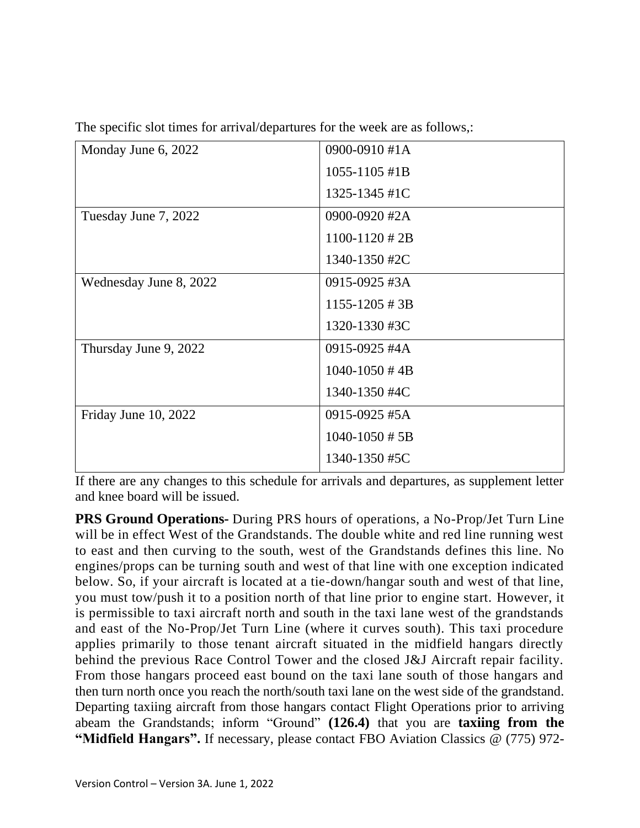|  |  |  | The specific slot times for arrival/departures for the week are as follows,: |  |  |  |  |
|--|--|--|------------------------------------------------------------------------------|--|--|--|--|
|  |  |  |                                                                              |  |  |  |  |

|                        | 0900-0910 #1A               |
|------------------------|-----------------------------|
| Monday June 6, 2022    |                             |
|                        | $1055 - 1105$ #1B           |
|                        | 1325-1345 #1C               |
| Tuesday June 7, 2022   | 0900-0920 #2A               |
|                        | $1100 - 1120 \# 2B$         |
|                        | 1340-1350 #2C               |
| Wednesday June 8, 2022 | 0915-0925 #3A               |
|                        | $1155 - 1205 \# 3B$         |
|                        | 1320-1330 #3C               |
| Thursday June 9, 2022  | 0915-0925 #4A               |
|                        | $1040 - 1050 \# 4B$         |
|                        | 1340-1350 #4C               |
| Friday June 10, 2022   | 0915-0925 #5A               |
|                        | $1040 - 1050 \text{ # } 5B$ |
|                        | 1340-1350 #5C               |
|                        |                             |

If there are any changes to this schedule for arrivals and departures, as supplement letter and knee board will be issued.

**PRS Ground Operations-** During PRS hours of operations, a No-Prop/Jet Turn Line will be in effect West of the Grandstands. The double white and red line running west to east and then curving to the south, west of the Grandstands defines this line. No engines/props can be turning south and west of that line with one exception indicated below. So, if your aircraft is located at a tie-down/hangar south and west of that line, you must tow/push it to a position north of that line prior to engine start. However, it is permissible to taxi aircraft north and south in the taxi lane west of the grandstands and east of the No-Prop/Jet Turn Line (where it curves south). This taxi procedure applies primarily to those tenant aircraft situated in the midfield hangars directly behind the previous Race Control Tower and the closed J&J Aircraft repair facility. From those hangars proceed east bound on the taxi lane south of those hangars and then turn north once you reach the north/south taxi lane on the west side of the grandstand. Departing taxiing aircraft from those hangars contact Flight Operations prior to arriving abeam the Grandstands; inform "Ground" **(126.4)** that you are **taxiing from the "Midfield Hangars".** If necessary, please contact FBO Aviation Classics @ (775) 972-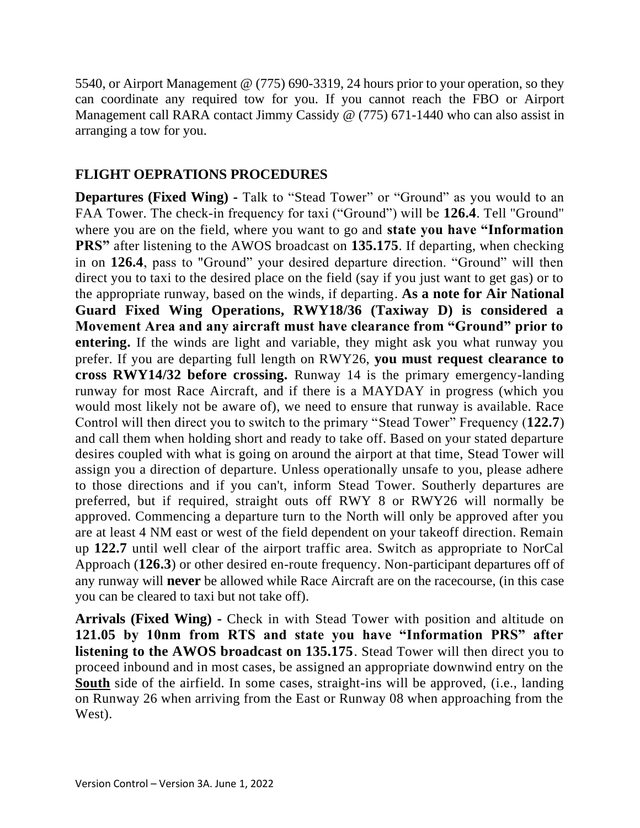5540, or Airport Management @ (775) 690-3319, 24 hours prior to your operation, so they can coordinate any required tow for you. If you cannot reach the FBO or Airport Management call RARA contact Jimmy Cassidy @ (775) 671-1440 who can also assist in arranging a tow for you.

## **FLIGHT OEPRATIONS PROCEDURES**

**Departures (Fixed Wing) -** Talk to "Stead Tower" or "Ground" as you would to an FAA Tower. The check-in frequency for taxi ("Ground") will be **126.4**. Tell "Ground" where you are on the field, where you want to go and **state you have "Information PRS**" after listening to the AWOS broadcast on 135.175. If departing, when checking in on **126.4**, pass to "Ground" your desired departure direction. "Ground" will then direct you to taxi to the desired place on the field (say if you just want to get gas) or to the appropriate runway, based on the winds, if departing. **As a note for Air National Guard Fixed Wing Operations, RWY18/36 (Taxiway D) is considered a Movement Area and any aircraft must have clearance from "Ground" prior to entering.** If the winds are light and variable, they might ask you what runway you prefer. If you are departing full length on RWY26, **you must request clearance to cross RWY14/32 before crossing.** Runway 14 is the primary emergency-landing runway for most Race Aircraft, and if there is a MAYDAY in progress (which you would most likely not be aware of), we need to ensure that runway is available. Race Control will then direct you to switch to the primary "Stead Tower" Frequency (**122.7**) and call them when holding short and ready to take off. Based on your stated departure desires coupled with what is going on around the airport at that time, Stead Tower will assign you a direction of departure. Unless operationally unsafe to you, please adhere to those directions and if you can't, inform Stead Tower. Southerly departures are preferred, but if required, straight outs off RWY 8 or RWY26 will normally be approved. Commencing a departure turn to the North will only be approved after you are at least 4 NM east or west of the field dependent on your takeoff direction. Remain up **122.7** until well clear of the airport traffic area. Switch as appropriate to NorCal Approach (**126.3**) or other desired en-route frequency. Non-participant departures off of any runway will **never** be allowed while Race Aircraft are on the racecourse, (in this case you can be cleared to taxi but not take off).

**Arrivals (Fixed Wing) -** Check in with Stead Tower with position and altitude on **121.05 by 10nm from RTS and state you have "Information PRS" after listening to the AWOS broadcast on 135.175**. Stead Tower will then direct you to proceed inbound and in most cases, be assigned an appropriate downwind entry on the **South** side of the airfield. In some cases, straight-ins will be approved, (i.e., landing on Runway 26 when arriving from the East or Runway 08 when approaching from the West).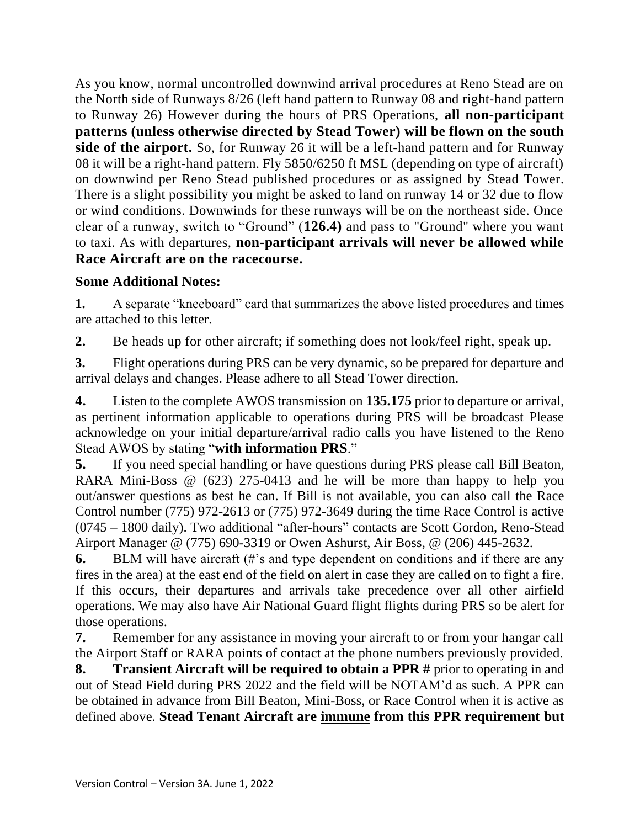As you know, normal uncontrolled downwind arrival procedures at Reno Stead are on the North side of Runways 8/26 (left hand pattern to Runway 08 and right-hand pattern to Runway 26) However during the hours of PRS Operations, **all non-participant patterns (unless otherwise directed by Stead Tower) will be flown on the south side of the airport.** So, for Runway 26 it will be a left-hand pattern and for Runway 08 it will be a right-hand pattern. Fly 5850/6250 ft MSL (depending on type of aircraft) on downwind per Reno Stead published procedures or as assigned by Stead Tower. There is a slight possibility you might be asked to land on runway 14 or 32 due to flow or wind conditions. Downwinds for these runways will be on the northeast side. Once clear of a runway, switch to "Ground" (**126.4)** and pass to "Ground" where you want to taxi. As with departures, **non-participant arrivals will never be allowed while Race Aircraft are on the racecourse.**

## **Some Additional Notes:**

**1.** A separate "kneeboard" card that summarizes the above listed procedures and times are attached to this letter.

**2.** Be heads up for other aircraft; if something does not look/feel right, speak up.

**3.** Flight operations during PRS can be very dynamic, so be prepared for departure and arrival delays and changes. Please adhere to all Stead Tower direction.

**4.** Listen to the complete AWOS transmission on **135.175** prior to departure or arrival, as pertinent information applicable to operations during PRS will be broadcast Please acknowledge on your initial departure/arrival radio calls you have listened to the Reno Stead AWOS by stating "**with information PRS**."

**5.** If you need special handling or have questions during PRS please call Bill Beaton, RARA Mini-Boss @ (623) 275-0413 and he will be more than happy to help you out/answer questions as best he can. If Bill is not available, you can also call the Race Control number (775) 972-2613 or (775) 972-3649 during the time Race Control is active (0745 – 1800 daily). Two additional "after-hours" contacts are Scott Gordon, Reno-Stead Airport Manager @ (775) 690-3319 or Owen Ashurst, Air Boss, @ (206) 445-2632.

**6.** BLM will have aircraft (#'s and type dependent on conditions and if there are any fires in the area) at the east end of the field on alert in case they are called on to fight a fire. If this occurs, their departures and arrivals take precedence over all other airfield operations. We may also have Air National Guard flight flights during PRS so be alert for those operations.

**7.** Remember for any assistance in moving your aircraft to or from your hangar call the Airport Staff or RARA points of contact at the phone numbers previously provided.

**8. Transient Aircraft will be required to obtain a PPR #** prior to operating in and out of Stead Field during PRS 2022 and the field will be NOTAM'd as such. A PPR can be obtained in advance from Bill Beaton, Mini-Boss, or Race Control when it is active as defined above. **Stead Tenant Aircraft are immune from this PPR requirement but**